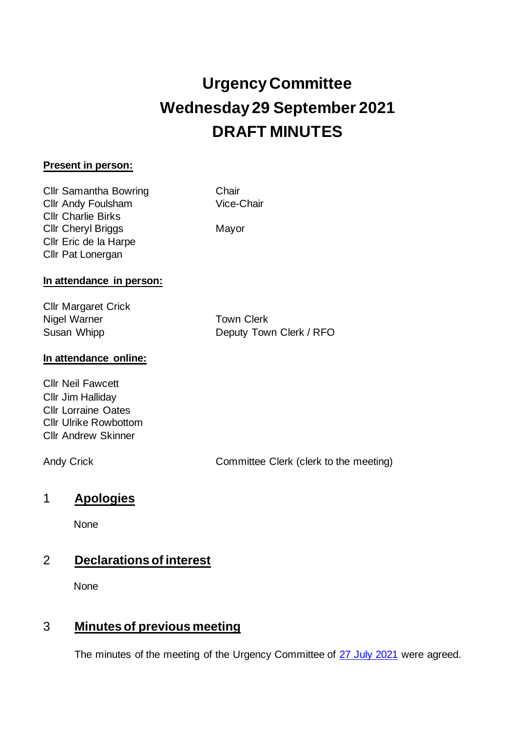# **Urgency Committee Wednesday 29 September 2021 DRAFT MINUTES**

#### **Present in person:**

Cllr Samantha Bowring Chair Cllr Andy Foulsham Vice-Chair Cllr Charlie Birks Cllr Cheryl Briggs Mayor Cllr Eric de la Harpe Cllr Pat Lonergan

#### **In attendance in person:**

Cllr Margaret Crick Nigel Warner **Town Clerk** 

Susan Whipp Deputy Town Clerk / RFO

### **In attendance online:**

Cllr Neil Fawcett Cllr Jim Halliday Cllr Lorraine Oates Cllr Ulrike Rowbottom Cllr Andrew Skinner

Andy Crick Committee Clerk (clerk to the meeting)

## 1 **Apologies**

None

# 2 **Declarations of interest**

None

# 3 **Minutes of previous meeting**

The minutes of the meeting of the Urgency Committee of [27 July 2021](https://www.abingdon.gov.uk/wp-content/uploads/2021/07/Urgency-Committee-27.7.21-Draft-Minutes.pdf) were agreed.